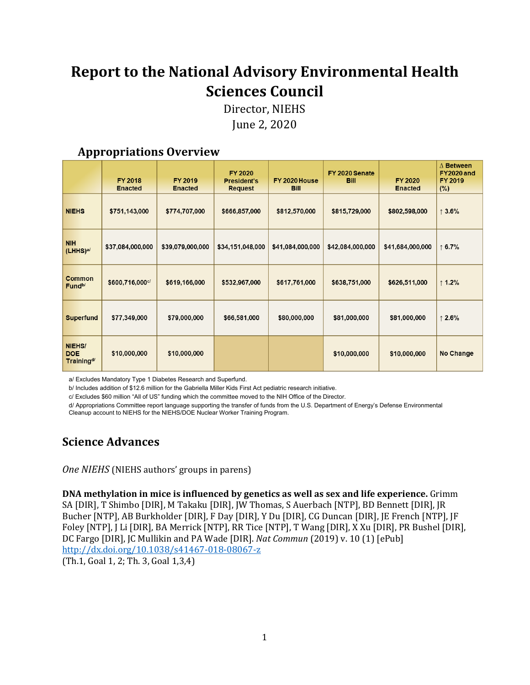# **Report to the National Advisory Environmental Health Sciences Council**

Director, NIEHS June 2, 2020

## **Appropriations Overview**

|                                                | <b>FY 2018</b><br><b>Enacted</b> | <b>FY 2019</b><br><b>Enacted</b> | <b>FY 2020</b><br><b>President's</b><br><b>Request</b> | FY 2020 House<br><b>Bill</b> | FY 2020 Senate<br><b>Bill</b> | <b>FY 2020</b><br><b>Enacted</b> | $\Delta$ Between<br><b>FY2020 and</b><br><b>FY 2019</b><br>(%) |
|------------------------------------------------|----------------------------------|----------------------------------|--------------------------------------------------------|------------------------------|-------------------------------|----------------------------------|----------------------------------------------------------------|
| <b>NIEHS</b>                                   | \$751,143,000                    | \$774,707,000                    | \$666,857,000                                          | \$812,570,000                | \$815,729,000                 | \$802,598,000                    | $\uparrow$ 3.6%                                                |
| <b>NIH</b><br>(LHHS) <sup>a/</sup>             | \$37,084,000,000                 | \$39,079,000,000                 | \$34,151,048,000                                       | \$41,084,000,000             | \$42,084,000,000              | \$41,684,000,000                 | $\uparrow$ 6.7%                                                |
| Common<br>Fund <sup>b/</sup>                   | \$600,716,000c/                  | \$619,166,000                    | \$532,967,000                                          | \$617,761,000                | \$638,751,000                 | \$626,511,000                    | $\uparrow$ 1.2%                                                |
| <b>Superfund</b>                               | \$77,349,000                     | \$79,000,000                     | \$66,581,000                                           | \$80,000,000                 | \$81,000,000                  | \$81,000,000                     | $\uparrow$ 2.6%                                                |
| NIEHS/<br><b>DOE</b><br>Training <sup>d/</sup> | \$10,000,000                     | \$10,000,000                     |                                                        |                              | \$10,000,000                  | \$10,000,000                     | <b>No Change</b>                                               |

a/ Excludes Mandatory Type 1 Diabetes Research and Superfund.

b/ Includes addition of \$12.6 million for the Gabriella Miller Kids First Act pediatric research initiative.

c/ Excludes \$60 million "All of US" funding which the committee moved to the NIH Office of the Director.

d/ Appropriations Committee report language supporting the transfer of funds from the U.S. Department of Energy's Defense Environmental Cleanup account to NIEHS for the NIEHS/DOE Nuclear Worker Training Program.

## **Science Advances**

*One NIEHS* (NIEHS authors' groups in parens)

**DNA methylation in mice is influenced by genetics as well as sex and life experience.** Grimm SA [DIR], T Shimbo [DIR], M Takaku [DIR], JW Thomas, S Auerbach [NTP], BD Bennett [DIR], JR Bucher [NTP], AB Burkholder [DIR], F Day [DIR], Y Du [DIR], CG Duncan [DIR], JE French [NTP], JF Foley [NTP], J Li [DIR], BA Merrick [NTP], RR Tice [NTP], T Wang [DIR], X Xu [DIR], PR Bushel [DIR], DC Fargo [DIR], JC Mullikin and PA Wade [DIR]. *Nat Commun* (2019) v. 10 (1) [ePub] <http://dx.doi.org/10.1038/s41467-018-08067-z>

(Th.1, Goal 1, 2; Th. 3, Goal 1,3,4)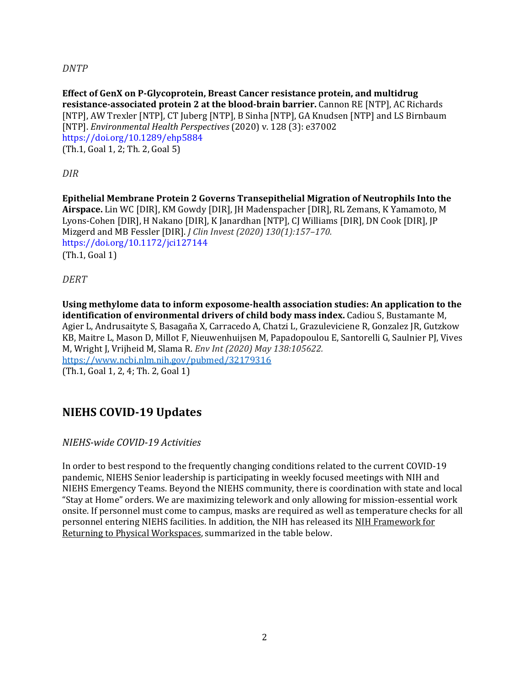*DNTP*

**Effect of GenX on P-Glycoprotein, Breast Cancer resistance protein, and multidrug resistance-associated protein 2 at the blood-brain barrier.** Cannon RE [NTP], AC Richards [NTP], AW Trexler [NTP], CT Juberg [NTP], B Sinha [NTP], GA Knudsen [NTP] and LS Birnbaum [NTP]. *Environmental Health Perspectives* (2020) v. 128 (3): e37002 https://doi.org/10.1289/ehp5884 (Th.1, Goal 1, 2; Th. 2, Goal 5)

*DIR*

**Epithelial Membrane Protein 2 Governs Transepithelial Migration of Neutrophils Into the Airspace.** Lin WC [DIR], KM Gowdy [DIR], JH Madenspacher [DIR], RL Zemans, K Yamamoto, M Lyons-Cohen [DIR], H Nakano [DIR], K Janardhan [NTP], CJ Williams [DIR], DN Cook [DIR], JP Mizgerd and MB Fessler [DIR]. *J Clin Invest (2020) 130(1):157–170.* https://doi.org/10.1172/jci127144 (Th.1, Goal 1)

*DERT*

**Using methylome data to inform exposome-health association studies: An application to the identification of environmental drivers of child body mass index.** Cadiou S, Bustamante M, Agier L, Andrusaityte S, Basagaña X, Carracedo A, Chatzi L, Grazuleviciene R, Gonzalez JR, Gutzkow KB, Maitre L, Mason D, Millot F, Nieuwenhuijsen M, Papadopoulou E, Santorelli G, Saulnier PJ, Vives M, Wright J, Vrijheid M, Slama R. *Env Int (2020) May 138:105622.* <https://www.ncbi.nlm.nih.gov/pubmed/32179316> (Th.1, Goal 1, 2, 4; Th. 2, Goal 1)

## **NIEHS COVID-19 Updates**

*NIEHS-wide COVID-19 Activities*

In order to best respond to the frequently changing conditions related to the current COVID-19 pandemic, NIEHS Senior leadership is participating in weekly focused meetings with NIH and NIEHS Emergency Teams. Beyond the NIEHS community, there is coordination with state and local "Stay at Home" orders. We are maximizing telework and only allowing for mission-essential work onsite. If personnel must come to campus, masks are required as well as temperature checks for all personnel entering NIEHS facilities. In addition, the NIH has released its NIH Framework for Returning to Physical Workspaces, summarized in the table below.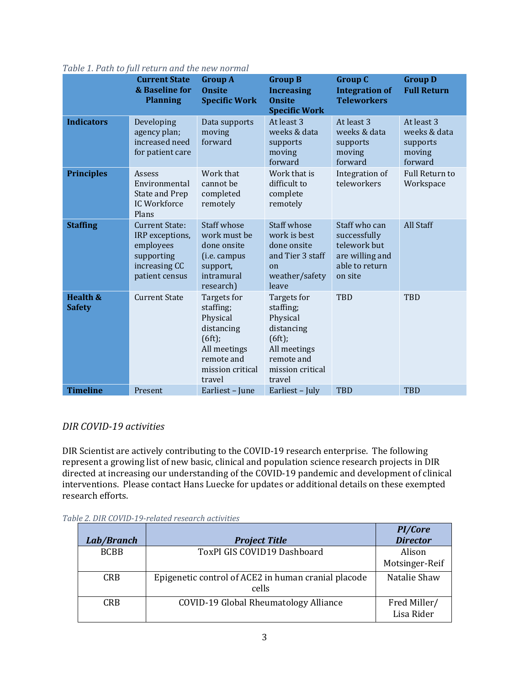|                                      | <i>Radio 1.1 ach co fail Focal II and the new normal</i><br><b>Current State</b><br>& Baseline for<br><b>Planning</b> | <b>Group A</b><br><b>Onsite</b><br><b>Specific Work</b>                                                                  | <b>Group B</b><br><b>Increasing</b><br><b>Onsite</b><br><b>Specific Work</b>                                             | <b>Group C</b><br><b>Integration of</b><br><b>Teleworkers</b>                                 | <b>Group D</b><br><b>Full Return</b>                        |
|--------------------------------------|-----------------------------------------------------------------------------------------------------------------------|--------------------------------------------------------------------------------------------------------------------------|--------------------------------------------------------------------------------------------------------------------------|-----------------------------------------------------------------------------------------------|-------------------------------------------------------------|
| <b>Indicators</b>                    | Developing<br>agency plan;<br>increased need<br>for patient care                                                      | Data supports<br>moving<br>forward                                                                                       | At least 3<br>weeks & data<br>supports<br>moving<br>forward                                                              | At least 3<br>weeks & data<br>supports<br>moving<br>forward                                   | At least 3<br>weeks & data<br>supports<br>moving<br>forward |
| <b>Principles</b>                    | Assess<br>Environmental<br>State and Prep<br>IC Workforce<br>Plans                                                    | Work that<br>cannot be<br>completed<br>remotely                                                                          | Work that is<br>difficult to<br>complete<br>remotely                                                                     | Integration of<br>teleworkers                                                                 | <b>Full Return to</b><br>Workspace                          |
| <b>Staffing</b>                      | <b>Current State:</b><br>IRP exceptions,<br>employees<br>supporting<br>increasing CC<br>patient census                | <b>Staff whose</b><br>work must be<br>done onsite<br>(i.e. campus<br>support,<br>intramural<br>research)                 | <b>Staff whose</b><br>work is best<br>done onsite<br>and Tier 3 staff<br>on<br>weather/safety<br>leave                   | Staff who can<br>successfully<br>telework but<br>are willing and<br>able to return<br>on site | All Staff                                                   |
| <b>Health &amp;</b><br><b>Safety</b> | <b>Current State</b>                                                                                                  | Targets for<br>staffing;<br>Physical<br>distancing<br>(6ft);<br>All meetings<br>remote and<br>mission critical<br>travel | Targets for<br>staffing;<br>Physical<br>distancing<br>(6ft);<br>All meetings<br>remote and<br>mission critical<br>travel | <b>TBD</b>                                                                                    | <b>TBD</b>                                                  |
| <b>Timeline</b>                      | Present                                                                                                               | Earliest - June                                                                                                          | Earliest - July                                                                                                          | <b>TBD</b>                                                                                    | <b>TBD</b>                                                  |

#### *Table 1. Path to full return and the new normal*

## *DIR COVID-19 activities*

DIR Scientist are actively contributing to the COVID-19 research enterprise. The following represent a growing list of new basic, clinical and population science research projects in DIR directed at increasing our understanding of the COVID-19 pandemic and development of clinical interventions. Please contact Hans Luecke for updates or additional details on these exempted research efforts.

| Lab/Branch  | <b>Project Title</b>                                         | <b>PI/Core</b><br><b>Director</b> |
|-------------|--------------------------------------------------------------|-----------------------------------|
| <b>BCBB</b> | ToxPI GIS COVID19 Dashboard                                  | Alison<br>Motsinger-Reif          |
| <b>CRB</b>  | Epigenetic control of ACE2 in human cranial placode<br>cells | Natalie Shaw                      |
| CRB.        | COVID-19 Global Rheumatology Alliance                        | Fred Miller/<br>Lisa Rider        |

#### *Table 2. DIR COVID-19-related research activities*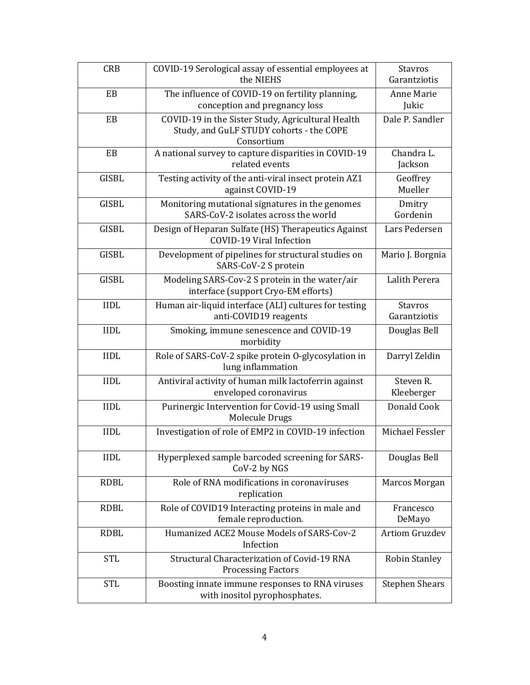| <b>CRB</b>   | COVID-19 Serological assay of essential employees at<br>the NIEHS                                           | <b>Stavros</b><br>Garantziotis |
|--------------|-------------------------------------------------------------------------------------------------------------|--------------------------------|
| EB           | The influence of COVID-19 on fertility planning,<br>conception and pregnancy loss                           | Anne Marie<br>Jukic            |
| EB           | COVID-19 in the Sister Study, Agricultural Health<br>Study, and GuLF STUDY cohorts - the COPE<br>Consortium | Dale P. Sandler                |
| EB           | A national survey to capture disparities in COVID-19<br>related events                                      | Chandra L.<br>Jackson          |
| <b>GISBL</b> | Testing activity of the anti-viral insect protein AZ1<br>against COVID-19                                   | Geoffrey<br>Mueller            |
| <b>GISBL</b> | Monitoring mutational signatures in the genomes<br>SARS-CoV-2 isolates across the world                     | Dmitry<br>Gordenin             |
| <b>GISBL</b> | Design of Heparan Sulfate (HS) Therapeutics Against<br>COVID-19 Viral Infection                             | Lars Pedersen                  |
| <b>GISBL</b> | Development of pipelines for structural studies on<br>SARS-CoV-2 S protein                                  | Mario J. Borgnia               |
| <b>GISBL</b> | Modeling SARS-Cov-2 S protein in the water/air<br>interface (support Cryo-EM efforts)                       | Lalith Perera                  |
| <b>IIDL</b>  | Human air-liquid interface (ALI) cultures for testing<br>anti-COVID19 reagents                              | <b>Stavros</b><br>Garantziotis |
| <b>IIDL</b>  | Smoking, immune senescence and COVID-19<br>morbidity                                                        | Douglas Bell                   |
| <b>IIDL</b>  | Role of SARS-CoV-2 spike protein O-glycosylation in<br>lung inflammation                                    | Darryl Zeldin                  |
| <b>IIDL</b>  | Antiviral activity of human milk lactoferrin against<br>enveloped coronavirus                               | Steven R.<br>Kleeberger        |
| <b>IIDL</b>  | Purinergic Intervention for Covid-19 using Small<br>Molecule Drugs                                          | Donald Cook                    |
| <b>IIDL</b>  | Investigation of role of EMP2 in COVID-19 infection                                                         | Michael Fessler                |
| <b>IIDL</b>  | Hyperplexed sample barcoded screening for SARS-<br>CoV-2 by NGS                                             | Douglas Bell                   |
| <b>RDBL</b>  | Role of RNA modifications in coronaviruses<br>replication                                                   | Marcos Morgan                  |
| <b>RDBL</b>  | Role of COVID19 Interacting proteins in male and<br>female reproduction.                                    | Francesco<br>DeMayo            |
| <b>RDBL</b>  | Humanized ACE2 Mouse Models of SARS-Cov-2<br>Infection                                                      | <b>Artiom Gruzdev</b>          |
| <b>STL</b>   | Structural Characterization of Covid-19 RNA<br><b>Processing Factors</b>                                    | <b>Robin Stanley</b>           |
| <b>STL</b>   | Boosting innate immune responses to RNA viruses<br>with inositol pyrophosphates.                            | <b>Stephen Shears</b>          |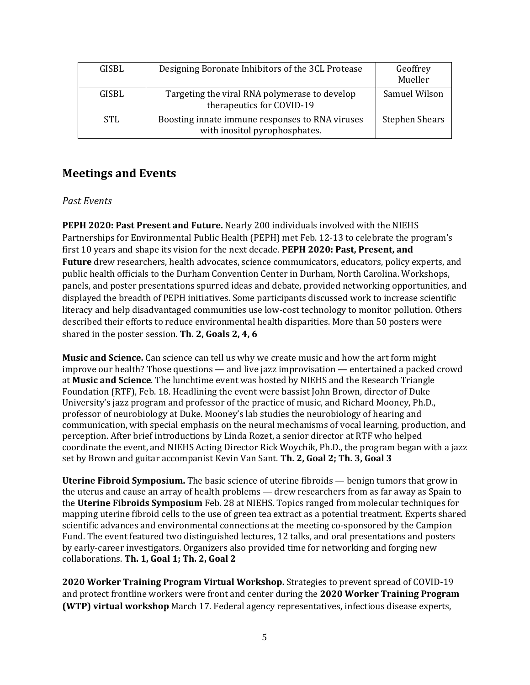| GISBL      | Designing Boronate Inhibitors of the 3CL Protease                                | Geoffrey<br>Mueller   |
|------------|----------------------------------------------------------------------------------|-----------------------|
| GISBL      | Targeting the viral RNA polymerase to develop<br>therapeutics for COVID-19       | Samuel Wilson         |
| <b>STL</b> | Boosting innate immune responses to RNA viruses<br>with inositol pyrophosphates. | <b>Stephen Shears</b> |

## **Meetings and Events**

#### *Past Events*

**PEPH 2020: Past Present and Future.** Nearly 200 individuals involved with the NIEHS Partnerships for Environmental Public Health (PEPH) met Feb. 12-13 to celebrate the program's first 10 years and shape its vision for the next decade. **PEPH 2020: Past, Present, and Future** drew researchers, health advocates, science communicators, educators, policy experts, and public health officials to the Durham Convention Center in Durham, North Carolina. Workshops, panels, and poster presentations spurred ideas and debate, provided networking opportunities, and displayed the breadth of PEPH initiatives. Some participants discussed work to increase scientific literacy and help disadvantaged communities use low-cost technology to monitor pollution. Others described their efforts to reduce environmental health disparities. More than 50 posters were shared in the poster session. **Th. 2, Goals 2, 4, 6**

**Music and Science.** Can science can tell us why we create music and how the art form might improve our health? Those questions — and live jazz improvisation — entertained a packed crowd at **Music and Science**. The lunchtime event was hosted by NIEHS and the Research Triangle Foundation (RTF), Feb. 18. Headlining the event were bassist John Brown, director of Duke University's jazz program and professor of the practice of music, and Richard Mooney, Ph.D., professor of neurobiology at Duke. Mooney's lab studies the neurobiology of hearing and communication, with special emphasis on the neural mechanisms of vocal learning, production, and perception. After brief introductions by Linda Rozet, a senior director at RTF who helped coordinate the event, and NIEHS Acting Director Rick Woychik, Ph.D., the program began with a jazz set by Brown and guitar accompanist Kevin Van Sant. **Th. 2, Goal 2; Th. 3, Goal 3**

**Uterine Fibroid Symposium.** The basic science of uterine fibroids — benign tumors that grow in the uterus and cause an array of health problems — drew researchers from as far away as Spain to the **Uterine Fibroids Symposium** Feb. 28 at NIEHS. Topics ranged from molecular techniques for mapping uterine fibroid cells to the use of green tea extract as a potential treatment. Experts shared scientific advances and environmental connections at the meeting co-sponsored by the Campion Fund. The event featured two distinguished lectures, 12 talks, and oral presentations and posters by early-career investigators. Organizers also provided time for networking and forging new collaborations. **Th. 1, Goal 1; Th. 2, Goal 2**

**2020 Worker Training Program Virtual Workshop.** Strategies to prevent spread of COVID-19 and protect frontline workers were front and center during the **2020 Worker Training Program (WTP) virtual workshop** March 17. Federal agency representatives, infectious disease experts,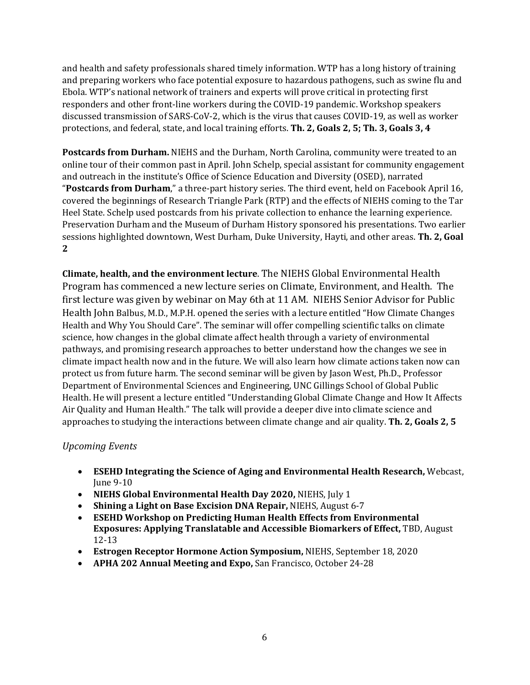and health and safety professionals shared timely information. WTP has a long history of training and preparing workers who face potential exposure to hazardous pathogens, such as swine flu and Ebola. WTP's national network of trainers and experts will prove critical in protecting first responders and other front-line workers during the COVID-19 pandemic. Workshop speakers discussed transmission of SARS-CoV-2, which is the virus that causes COVID-19, as well as worker protections, and federal, state, and local training efforts. **Th. 2, Goals 2, 5; Th. 3, Goals 3, 4**

**Postcards from Durham.** NIEHS and the Durham, North Carolina, community were treated to an online tour of their common past in April. John Schelp, special assistant for community engagement and outreach in the institute's Office of Science Education and Diversity (OSED), narrated "**Postcards from Durham**," a three-part history series. The third event, held on Facebook April 16, covered the beginnings of Research Triangle Park (RTP) and the effects of NIEHS coming to the Tar Heel State. Schelp used postcards from his private collection to enhance the learning experience. Preservation Durham and the Museum of Durham History sponsored his presentations. Two earlier sessions highlighted downtown, West Durham, Duke University, Hayti, and other areas. **Th. 2, Goal 2**

**Climate, health, and the environment lecture**. The NIEHS Global Environmental Health Program has commenced a new lecture series on Climate, Environment, and Health. The first lecture was given by webinar on May 6th at 11 AM. NIEHS Senior Advisor for Public Health John Balbus, M.D., M.P.H. opened the series with a lecture entitled "How Climate Changes Health and Why You Should Care". The seminar will offer compelling scientific talks on climate science, how changes in the global climate affect health through a variety of environmental pathways, and promising research approaches to better understand how the changes we see in climate impact health now and in the future. We will also learn how climate actions taken now can protect us from future harm. The second seminar will be given by Jason West, Ph.D., Professor Department of Environmental Sciences and Engineering, UNC Gillings School of Global Public Health. He will present a lecture entitled "Understanding Global Climate Change and How It Affects Air Quality and Human Health." The talk will provide a deeper dive into climate science and approaches to studying the interactions between climate change and air quality. **Th. 2, Goals 2, 5**

## *Upcoming Events*

- **ESEHD Integrating the Science of Aging and Environmental Health Research,** Webcast, June 9-10
- **NIEHS Global Environmental Health Day 2020,** NIEHS, July 1
- **Shining a Light on Base Excision DNA Repair,** NIEHS, August 6-7
- **ESEHD Workshop on Predicting Human Health Effects from Environmental Exposures: Applying Translatable and Accessible Biomarkers of Effect,** TBD, August 12-13
- **Estrogen Receptor Hormone Action Symposium,** NIEHS, September 18, 2020
- **APHA 202 Annual Meeting and Expo,** San Francisco, October 24-28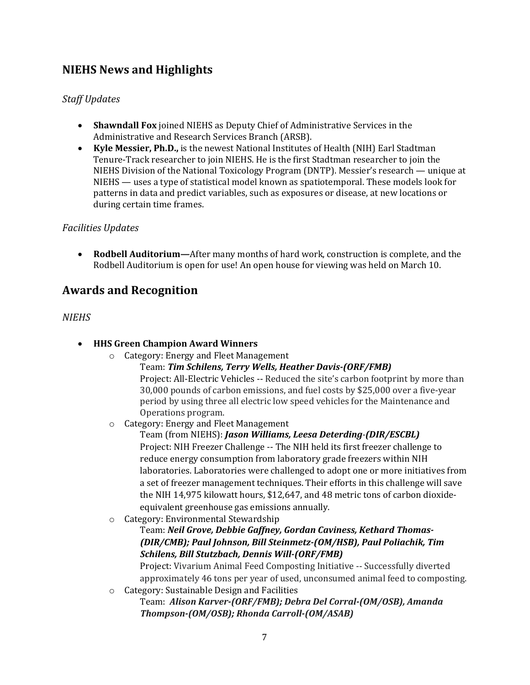## **NIEHS News and Highlights**

## *Staff Updates*

- **Shawndall Fox** joined NIEHS as Deputy Chief of Administrative Services in the Administrative and Research Services Branch (ARSB).
- **Kyle Messier, Ph.D.,** is the newest National Institutes of Health (NIH) Earl Stadtman Tenure-Track researcher to join NIEHS. He is the first Stadtman researcher to join the NIEHS Division of the National Toxicology Program (DNTP). Messier's research — unique at NIEHS — uses a type of statistical model known as spatiotemporal. These models look for patterns in data and predict variables, such as exposures or disease, at new locations or during certain time frames.

#### *Facilities Updates*

• **Rodbell Auditorium—**After many months of hard work, construction is complete, and the Rodbell Auditorium is open for use! An open house for viewing was held on March 10.

## **Awards and Recognition**

#### *NIEHS*

- **HHS Green Champion Award Winners**
	- o Category: Energy and Fleet Management
		- Team: *Tim Schilens, Terry Wells, Heather Davis-(ORF/FMB)*

Project: All-Electric Vehicles -- Reduced the site's carbon footprint by more than 30,000 pounds of carbon emissions, and fuel costs by \$25,000 over a five-year period by using three all electric low speed vehicles for the Maintenance and Operations program.

o Category: Energy and Fleet Management

Team (from NIEHS): *Jason Williams, Leesa Deterding-(DIR/ESCBL)* Project: NIH Freezer Challenge -- The NIH held its first freezer challenge to reduce energy consumption from laboratory grade freezers within NIH laboratories. Laboratories were challenged to adopt one or more initiatives from a set of freezer management techniques. Their efforts in this challenge will save the NIH 14,975 kilowatt hours, \$12,647, and 48 metric tons of carbon dioxideequivalent greenhouse gas emissions annually.

o Category: Environmental Stewardship

Team: *Neil Grove, Debbie Gaffney, Gordan Caviness, Kethard Thomas- (DIR/CMB); Paul Johnson, Bill Steinmetz-(OM/HSB), Paul Poliachik, Tim Schilens, Bill Stutzbach, Dennis Will-(ORF/FMB)*

Project: Vivarium Animal Feed Composting Initiative -- Successfully diverted approximately 46 tons per year of used, unconsumed animal feed to composting.

o Category: Sustainable Design and Facilities Team: *Alison Karver-(ORF/FMB); Debra Del Corral-(OM/OSB), Amanda Thompson-(OM/OSB); Rhonda Carroll-(OM/ASAB)*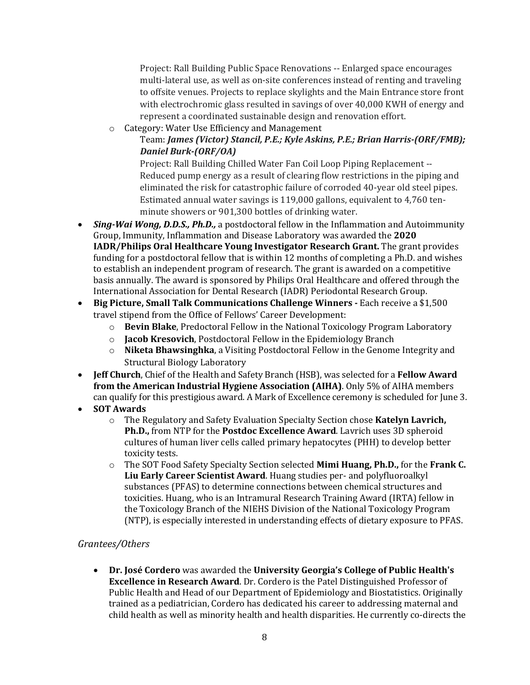Project: Rall Building Public Space Renovations -- Enlarged space encourages multi-lateral use, as well as on-site conferences instead of renting and traveling to offsite venues. Projects to replace skylights and the Main Entrance store front with electrochromic glass resulted in savings of over 40,000 KWH of energy and represent a coordinated sustainable design and renovation effort.

o Category: Water Use Efficiency and Management

### Team: *James (Victor) Stancil, P.E.; Kyle Askins, P.E.; Brian Harris-(ORF/FMB); Daniel Burk-(ORF/OA)*

Project: Rall Building Chilled Water Fan Coil Loop Piping Replacement -- Reduced pump energy as a result of clearing flow restrictions in the piping and eliminated the risk for catastrophic failure of corroded 40-year old steel pipes. Estimated annual water savings is 119,000 gallons, equivalent to 4,760 tenminute showers or 901,300 bottles of drinking water.

- *Sing-Wai Wong, D.D.S., Ph.D.,* a postdoctoral fellow in the Inflammation and Autoimmunity Group, Immunity, Inflammation and Disease Laboratory was awarded the **2020 IADR/Philips Oral Healthcare Young Investigator Research Grant.** The grant provides funding for a postdoctoral fellow that is within 12 months of completing a Ph.D. and wishes to establish an independent program of research. The grant is awarded on a competitive basis annually. The award is sponsored by Philips Oral Healthcare and offered through the International Association for Dental Research (IADR) Periodontal Research Group.
- **Big Picture, Small Talk Communications Challenge Winners -** Each receive a \$1,500 travel stipend from the Office of Fellows' Career Development:
	- o **Bevin Blake**, Predoctoral Fellow in the National Toxicology Program Laboratory
	- o **Jacob Kresovich**, Postdoctoral Fellow in the Epidemiology Branch
	- o **Niketa Bhawsinghka**, a Visiting Postdoctoral Fellow in the Genome Integrity and Structural Biology Laboratory
- **Jeff Church**, Chief of the Health and Safety Branch (HSB), was selected for a **Fellow Award from the American Industrial Hygiene Association (AIHA)**. Only 5% of AIHA members can qualify for this prestigious award. A Mark of Excellence ceremony is scheduled for June 3.
- **SOT Awards**
	- o The Regulatory and Safety Evaluation Specialty Section chose **Katelyn Lavrich, Ph.D.,** from NTP for the **Postdoc Excellence Award**. Lavrich uses 3D spheroid cultures of human liver cells called primary hepatocytes (PHH) to develop better toxicity tests.
	- o The SOT Food Safety Specialty Section selected **Mimi Huang, Ph.D.,** for the **Frank C. Liu Early Career Scientist Award**. Huang studies per- and polyfluoroalkyl substances (PFAS) to determine connections between chemical structures and toxicities. Huang, who is an Intramural Research Training Award (IRTA) fellow in the Toxicology Branch of the NIEHS Division of the National Toxicology Program (NTP), is especially interested in understanding effects of dietary exposure to PFAS.

## *Grantees/Others*

• **Dr. José Cordero** was awarded the **University Georgia's College of Public Health's Excellence in Research Award**. Dr. Cordero is the Patel Distinguished Professor of Public Health and Head of our Department of Epidemiology and Biostatistics. Originally trained as a pediatrician, Cordero has dedicated his career to addressing maternal and child health as well as minority health and health disparities. He currently co-directs the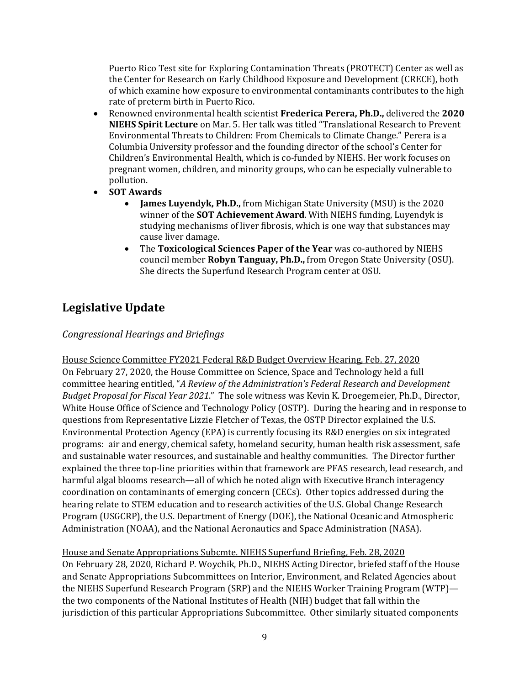Puerto Rico Test site for Exploring Contamination Threats (PROTECT) Center as well as the Center for Research on Early Childhood Exposure and Development (CRECE), both of which examine how exposure to environmental contaminants contributes to the high rate of preterm birth in Puerto Rico.

- Renowned environmental health scientist **Frederica Perera, Ph.D.,** delivered the **2020 NIEHS Spirit Lecture** on Mar. 5. Her talk was titled "Translational Research to Prevent Environmental Threats to Children: From Chemicals to Climate Change." Perera is a Columbia University professor and the founding director of the school's Center for Children's Environmental Health, which is co-funded by NIEHS. Her work focuses on pregnant women, children, and minority groups, who can be especially vulnerable to pollution.
- **SOT Awards**
	- **James Luyendyk, Ph.D.,** from Michigan State University (MSU) is the 2020 winner of the **SOT Achievement Award**. With NIEHS funding, Luyendyk is studying mechanisms of liver fibrosis, which is one way that substances may cause liver damage.
	- The **Toxicological Sciences Paper of the Year** was co-authored by NIEHS council member **Robyn Tanguay, Ph.D.,** from Oregon State University (OSU). She directs the Superfund Research Program center at OSU.

## **Legislative Update**

## *Congressional Hearings and Briefings*

House Science Committee FY2021 Federal R&D Budget Overview Hearing, Feb. 27, 2020 On February 27, 2020, the House Committee on Science, Space and Technology held a full committee hearing entitled, "*A Review of the Administration's Federal Research and Development Budget Proposal for Fiscal Year 2021*." The sole witness was Kevin K. Droegemeier, Ph.D., Director, White House Office of Science and Technology Policy (OSTP). During the hearing and in response to questions from Representative Lizzie Fletcher of Texas, the OSTP Director explained the U.S. Environmental Protection Agency (EPA) is currently focusing its R&D energies on six integrated programs: air and energy, chemical safety, homeland security, human health risk assessment, safe and sustainable water resources, and sustainable and healthy communities. The Director further explained the three top-line priorities within that framework are PFAS research, lead research, and harmful algal blooms research—all of which he noted align with Executive Branch interagency coordination on contaminants of emerging concern (CECs). Other topics addressed during the hearing relate to STEM education and to research activities of the U.S. Global Change Research Program (USGCRP), the U.S. Department of Energy (DOE), the National Oceanic and Atmospheric Administration (NOAA), and the National Aeronautics and Space Administration (NASA).

House and Senate Appropriations Subcmte. NIEHS Superfund Briefing, Feb. 28, 2020 On February 28, 2020, Richard P. Woychik, Ph.D., NIEHS Acting Director, briefed staff of the House and Senate Appropriations Subcommittees on Interior, Environment, and Related Agencies about the NIEHS Superfund Research Program (SRP) and the NIEHS Worker Training Program (WTP) the two components of the National Institutes of Health (NIH) budget that fall within the jurisdiction of this particular Appropriations Subcommittee. Other similarly situated components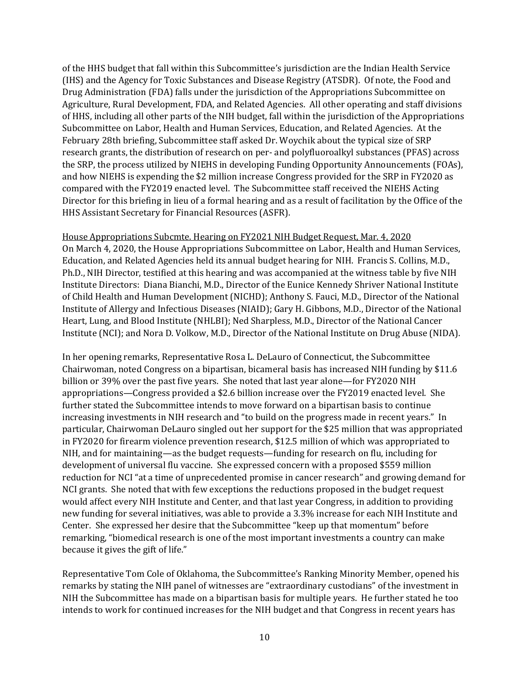of the HHS budget that fall within this Subcommittee's jurisdiction are the Indian Health Service (IHS) and the Agency for Toxic Substances and Disease Registry (ATSDR). Of note, the Food and Drug Administration (FDA) falls under the jurisdiction of the Appropriations Subcommittee on Agriculture, Rural Development, FDA, and Related Agencies. All other operating and staff divisions of HHS, including all other parts of the NIH budget, fall within the jurisdiction of the Appropriations Subcommittee on Labor, Health and Human Services, Education, and Related Agencies. At the February 28th briefing, Subcommittee staff asked Dr. Woychik about the typical size of SRP research grants, the distribution of research on per- and polyfluoroalkyl substances (PFAS) across the SRP, the process utilized by NIEHS in developing Funding Opportunity Announcements (FOAs), and how NIEHS is expending the \$2 million increase Congress provided for the SRP in FY2020 as compared with the FY2019 enacted level. The Subcommittee staff received the NIEHS Acting Director for this briefing in lieu of a formal hearing and as a result of facilitation by the Office of the HHS Assistant Secretary for Financial Resources (ASFR).

House Appropriations Subcmte. Hearing on FY2021 NIH Budget Request, Mar. 4, 2020 On March 4, 2020, the House Appropriations Subcommittee on Labor, Health and Human Services, Education, and Related Agencies held its annual budget hearing for NIH. Francis S. Collins, M.D., Ph.D., NIH Director, testified at this hearing and was accompanied at the witness table by five NIH Institute Directors: Diana Bianchi, M.D., Director of the Eunice Kennedy Shriver National Institute of Child Health and Human Development (NICHD); Anthony S. Fauci, M.D., Director of the National Institute of Allergy and Infectious Diseases (NIAID); Gary H. Gibbons, M.D., Director of the National Heart, Lung, and Blood Institute (NHLBI); Ned Sharpless, M.D., Director of the National Cancer Institute (NCI); and Nora D. Volkow, M.D., Director of the National Institute on Drug Abuse (NIDA).

In her opening remarks, Representative Rosa L. DeLauro of Connecticut, the Subcommittee Chairwoman, noted Congress on a bipartisan, bicameral basis has increased NIH funding by \$11.6 billion or 39% over the past five years. She noted that last year alone—for FY2020 NIH appropriations—Congress provided a \$2.6 billion increase over the FY2019 enacted level. She further stated the Subcommittee intends to move forward on a bipartisan basis to continue increasing investments in NIH research and "to build on the progress made in recent years." In particular, Chairwoman DeLauro singled out her support for the \$25 million that was appropriated in FY2020 for firearm violence prevention research, \$12.5 million of which was appropriated to NIH, and for maintaining—as the budget requests—funding for research on flu, including for development of universal flu vaccine. She expressed concern with a proposed \$559 million reduction for NCI "at a time of unprecedented promise in cancer research" and growing demand for NCI grants. She noted that with few exceptions the reductions proposed in the budget request would affect every NIH Institute and Center, and that last year Congress, in addition to providing new funding for several initiatives, was able to provide a 3.3% increase for each NIH Institute and Center. She expressed her desire that the Subcommittee "keep up that momentum" before remarking, "biomedical research is one of the most important investments a country can make because it gives the gift of life."

Representative Tom Cole of Oklahoma, the Subcommittee's Ranking Minority Member, opened his remarks by stating the NIH panel of witnesses are "extraordinary custodians" of the investment in NIH the Subcommittee has made on a bipartisan basis for multiple years. He further stated he too intends to work for continued increases for the NIH budget and that Congress in recent years has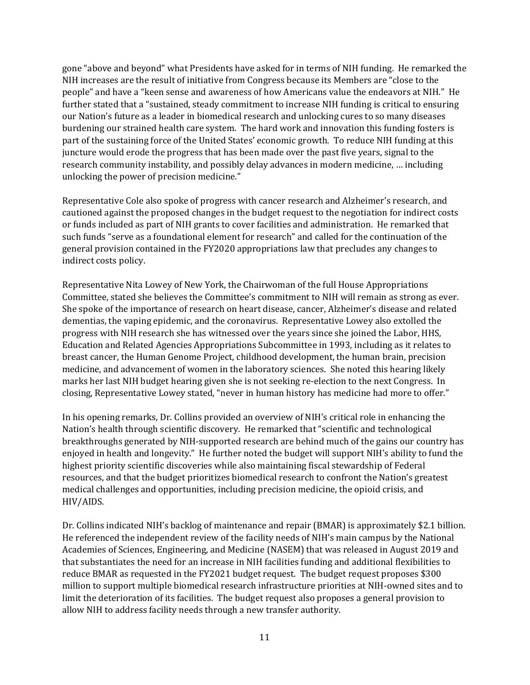gone "above and beyond" what Presidents have asked for in terms of NIH funding. He remarked the NIH increases are the result of initiative from Congress because its Members are "close to the people" and have a "keen sense and awareness of how Americans value the endeavors at NIH." He further stated that a "sustained, steady commitment to increase NIH funding is critical to ensuring our Nation's future as a leader in biomedical research and unlocking cures to so many diseases burdening our strained health care system. The hard work and innovation this funding fosters is part of the sustaining force of the United States' economic growth. To reduce NIH funding at this juncture would erode the progress that has been made over the past five years, signal to the research community instability, and possibly delay advances in modern medicine, … including unlocking the power of precision medicine."

Representative Cole also spoke of progress with cancer research and Alzheimer's research, and cautioned against the proposed changes in the budget request to the negotiation for indirect costs or funds included as part of NIH grants to cover facilities and administration. He remarked that such funds "serve as a foundational element for research" and called for the continuation of the general provision contained in the FY2020 appropriations law that precludes any changes to indirect costs policy.

Representative Nita Lowey of New York, the Chairwoman of the full House Appropriations Committee, stated she believes the Committee's commitment to NIH will remain as strong as ever. She spoke of the importance of research on heart disease, cancer, Alzheimer's disease and related dementias, the vaping epidemic, and the coronavirus. Representative Lowey also extolled the progress with NIH research she has witnessed over the years since she joined the Labor, HHS, Education and Related Agencies Appropriations Subcommittee in 1993, including as it relates to breast cancer, the Human Genome Project, childhood development, the human brain, precision medicine, and advancement of women in the laboratory sciences. She noted this hearing likely marks her last NIH budget hearing given she is not seeking re-election to the next Congress. In closing, Representative Lowey stated, "never in human history has medicine had more to offer."

In his opening remarks, Dr. Collins provided an overview of NIH's critical role in enhancing the Nation's health through scientific discovery. He remarked that "scientific and technological breakthroughs generated by NIH-supported research are behind much of the gains our country has enjoyed in health and longevity." He further noted the budget will support NIH's ability to fund the highest priority scientific discoveries while also maintaining fiscal stewardship of Federal resources, and that the budget prioritizes biomedical research to confront the Nation's greatest medical challenges and opportunities, including precision medicine, the opioid crisis, and HIV/AIDS.

Dr. Collins indicated NIH's backlog of maintenance and repair (BMAR) is approximately \$2.1 billion. He referenced the independent review of the facility needs of NIH's main campus by the National Academies of Sciences, Engineering, and Medicine (NASEM) that was released in August 2019 and that substantiates the need for an increase in NIH facilities funding and additional flexibilities to reduce BMAR as requested in the FY2021 budget request. The budget request proposes \$300 million to support multiple biomedical research infrastructure priorities at NIH-owned sites and to limit the deterioration of its facilities. The budget request also proposes a general provision to allow NIH to address facility needs through a new transfer authority.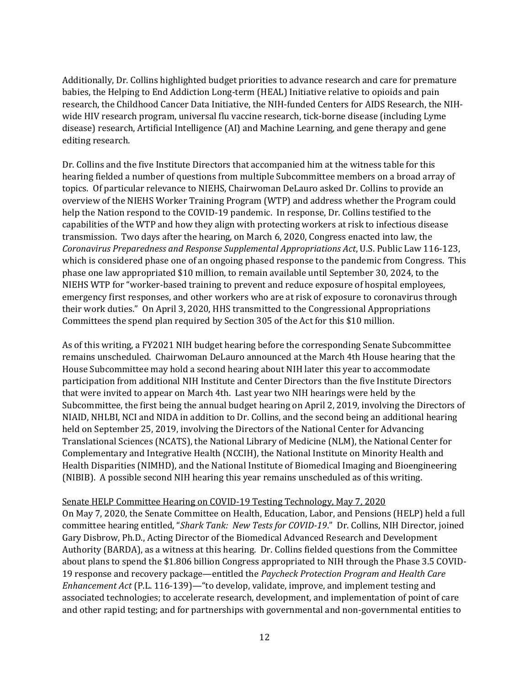Additionally, Dr. Collins highlighted budget priorities to advance research and care for premature babies, the Helping to End Addiction Long-term (HEAL) Initiative relative to opioids and pain research, the Childhood Cancer Data Initiative, the NIH-funded Centers for AIDS Research, the NIHwide HIV research program, universal flu vaccine research, tick-borne disease (including Lyme disease) research, Artificial Intelligence (AI) and Machine Learning, and gene therapy and gene editing research.

Dr. Collins and the five Institute Directors that accompanied him at the witness table for this hearing fielded a number of questions from multiple Subcommittee members on a broad array of topics. Of particular relevance to NIEHS, Chairwoman DeLauro asked Dr. Collins to provide an overview of the NIEHS Worker Training Program (WTP) and address whether the Program could help the Nation respond to the COVID-19 pandemic. In response, Dr. Collins testified to the capabilities of the WTP and how they align with protecting workers at risk to infectious disease transmission. Two days after the hearing, on March 6, 2020, Congress enacted into law, the *Coronavirus Preparedness and Response Supplemental Appropriations Act*, U.S. Public Law 116-123, which is considered phase one of an ongoing phased response to the pandemic from Congress. This phase one law appropriated \$10 million, to remain available until September 30, 2024, to the NIEHS WTP for "worker-based training to prevent and reduce exposure of hospital employees, emergency first responses, and other workers who are at risk of exposure to coronavirus through their work duties." On April 3, 2020, HHS transmitted to the Congressional Appropriations Committees the spend plan required by Section 305 of the Act for this \$10 million.

As of this writing, a FY2021 NIH budget hearing before the corresponding Senate Subcommittee remains unscheduled. Chairwoman DeLauro announced at the March 4th House hearing that the House Subcommittee may hold a second hearing about NIH later this year to accommodate participation from additional NIH Institute and Center Directors than the five Institute Directors that were invited to appear on March 4th. Last year two NIH hearings were held by the Subcommittee, the first being the annual budget hearing on April 2, 2019, involving the Directors of NIAID, NHLBI, NCI and NIDA in addition to Dr. Collins, and the second being an additional hearing held on September 25, 2019, involving the Directors of the National Center for Advancing Translational Sciences (NCATS), the National Library of Medicine (NLM), the National Center for Complementary and Integrative Health (NCCIH), the National Institute on Minority Health and Health Disparities (NIMHD), and the National Institute of Biomedical Imaging and Bioengineering (NIBIB). A possible second NIH hearing this year remains unscheduled as of this writing.

#### Senate HELP Committee Hearing on COVID-19 Testing Technology, May 7, 2020

On May 7, 2020, the Senate Committee on Health, Education, Labor, and Pensions (HELP) held a full committee hearing entitled, "*Shark Tank: New Tests for COVID-19*." Dr. Collins, NIH Director, joined Gary Disbrow, Ph.D., Acting Director of the Biomedical Advanced Research and Development Authority (BARDA), as a witness at this hearing. Dr. Collins fielded questions from the Committee about plans to spend the \$1.806 billion Congress appropriated to NIH through the Phase 3.5 COVID-19 response and recovery package—entitled the *Paycheck Protection Program and Health Care Enhancement Act* (P.L. 116-139)—"to develop, validate, improve, and implement testing and associated technologies; to accelerate research, development, and implementation of point of care and other rapid testing; and for partnerships with governmental and non-governmental entities to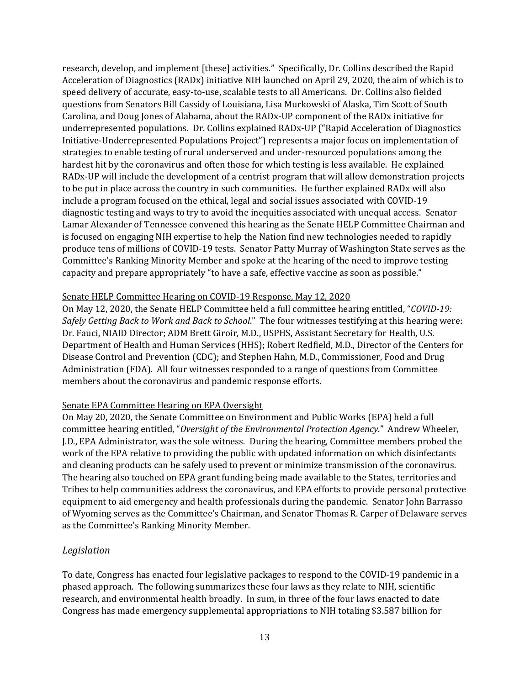research, develop, and implement [these] activities." Specifically, Dr. Collins described the Rapid Acceleration of Diagnostics (RADx) initiative NIH launched on April 29, 2020, the aim of which is to speed delivery of accurate, easy-to-use, scalable tests to all Americans. Dr. Collins also fielded questions from Senators Bill Cassidy of Louisiana, Lisa Murkowski of Alaska, Tim Scott of South Carolina, and Doug Jones of Alabama, about the RADx-UP component of the RADx initiative for underrepresented populations. Dr. Collins explained RADx-UP ("Rapid Acceleration of Diagnostics Initiative-Underrepresented Populations Project") represents a major focus on implementation of strategies to enable testing of rural underserved and under-resourced populations among the hardest hit by the coronavirus and often those for which testing is less available. He explained RADx-UP will include the development of a centrist program that will allow demonstration projects to be put in place across the country in such communities. He further explained RADx will also include a program focused on the ethical, legal and social issues associated with COVID-19 diagnostic testing and ways to try to avoid the inequities associated with unequal access. Senator Lamar Alexander of Tennessee convened this hearing as the Senate HELP Committee Chairman and is focused on engaging NIH expertise to help the Nation find new technologies needed to rapidly produce tens of millions of COVID-19 tests. Senator Patty Murray of Washington State serves as the Committee's Ranking Minority Member and spoke at the hearing of the need to improve testing capacity and prepare appropriately "to have a safe, effective vaccine as soon as possible."

#### Senate HELP Committee Hearing on COVID-19 Response, May 12, 2020

On May 12, 2020, the Senate HELP Committee held a full committee hearing entitled, "*COVID-19: Safely Getting Back to Work and Back to School*." The four witnesses testifying at this hearing were: Dr. Fauci, NIAID Director; ADM Brett Giroir, M.D., USPHS, Assistant Secretary for Health, U.S. Department of Health and Human Services (HHS); Robert Redfield, M.D., Director of the Centers for Disease Control and Prevention (CDC); and Stephen Hahn, M.D., Commissioner, Food and Drug Administration (FDA). All four witnesses responded to a range of questions from Committee members about the coronavirus and pandemic response efforts.

#### Senate EPA Committee Hearing on EPA Oversight

On May 20, 2020, the Senate Committee on Environment and Public Works (EPA) held a full committee hearing entitled, "*Oversight of the Environmental Protection Agency*." Andrew Wheeler, J.D., EPA Administrator, was the sole witness. During the hearing, Committee members probed the work of the EPA relative to providing the public with updated information on which disinfectants and cleaning products can be safely used to prevent or minimize transmission of the coronavirus. The hearing also touched on EPA grant funding being made available to the States, territories and Tribes to help communities address the coronavirus, and EPA efforts to provide personal protective equipment to aid emergency and health professionals during the pandemic. Senator John Barrasso of Wyoming serves as the Committee's Chairman, and Senator Thomas R. Carper of Delaware serves as the Committee's Ranking Minority Member.

#### *Legislation*

To date, Congress has enacted four legislative packages to respond to the COVID-19 pandemic in a phased approach. The following summarizes these four laws as they relate to NIH, scientific research, and environmental health broadly. In sum, in three of the four laws enacted to date Congress has made emergency supplemental appropriations to NIH totaling \$3.587 billion for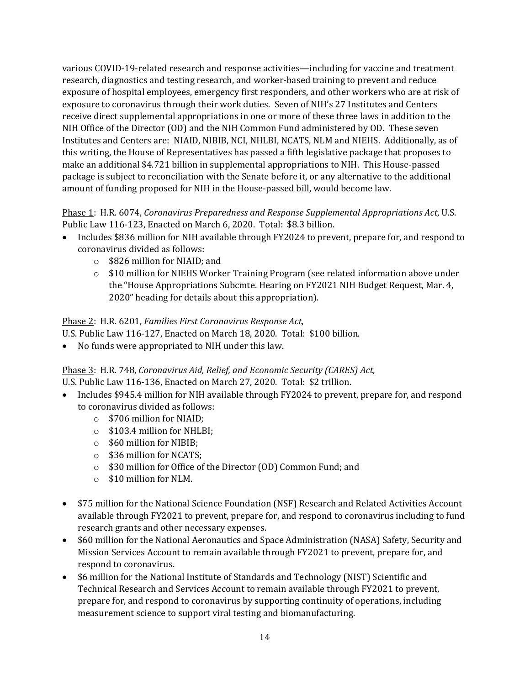various COVID-19-related research and response activities—including for vaccine and treatment research, diagnostics and testing research, and worker-based training to prevent and reduce exposure of hospital employees, emergency first responders, and other workers who are at risk of exposure to coronavirus through their work duties. Seven of NIH's 27 Institutes and Centers receive direct supplemental appropriations in one or more of these three laws in addition to the NIH Office of the Director (OD) and the NIH Common Fund administered by OD. These seven Institutes and Centers are: NIAID, NIBIB, NCI, NHLBI, NCATS, NLM and NIEHS. Additionally, as of this writing, the House of Representatives has passed a fifth legislative package that proposes to make an additional \$4.721 billion in supplemental appropriations to NIH. This House-passed package is subject to reconciliation with the Senate before it, or any alternative to the additional amount of funding proposed for NIH in the House-passed bill, would become law.

### Phase 1: H.R. 6074, *Coronavirus Preparedness and Response Supplemental Appropriations Act*, U.S. Public Law 116-123, Enacted on March 6, 2020. Total: \$8.3 billion.

- Includes \$836 million for NIH available through FY2024 to prevent, prepare for, and respond to coronavirus divided as follows:
	- o \$826 million for NIAID; and
	- $\circ$  \$10 million for NIEHS Worker Training Program (see related information above under the "House Appropriations Subcmte. Hearing on FY2021 NIH Budget Request, Mar. 4, 2020" heading for details about this appropriation).

#### Phase 2: H.R. 6201, *Families First Coronavirus Response Act*,

U.S. Public Law 116-127, Enacted on March 18, 2020. Total: \$100 billion.

• No funds were appropriated to NIH under this law.

## Phase 3: H.R. 748, *Coronavirus Aid, Relief, and Economic Security (CARES) Act,*

#### U.S. Public Law 116-136, Enacted on March 27, 2020. Total: \$2 trillion.

- Includes \$945.4 million for NIH available through FY2024 to prevent, prepare for, and respond to coronavirus divided as follows:
	- o \$706 million for NIAID;
	- o \$103.4 million for NHLBI;
	- o \$60 million for NIBIB;
	- o \$36 million for NCATS;
	- o \$30 million for Office of the Director (OD) Common Fund; and
	- o \$10 million for NLM.
- \$75 million for the National Science Foundation (NSF) Research and Related Activities Account available through FY2021 to prevent, prepare for, and respond to coronavirus including to fund research grants and other necessary expenses.
- \$60 million for the National Aeronautics and Space Administration (NASA) Safety, Security and Mission Services Account to remain available through FY2021 to prevent, prepare for, and respond to coronavirus.
- \$6 million for the National Institute of Standards and Technology (NIST) Scientific and Technical Research and Services Account to remain available through FY2021 to prevent, prepare for, and respond to coronavirus by supporting continuity of operations, including measurement science to support viral testing and biomanufacturing.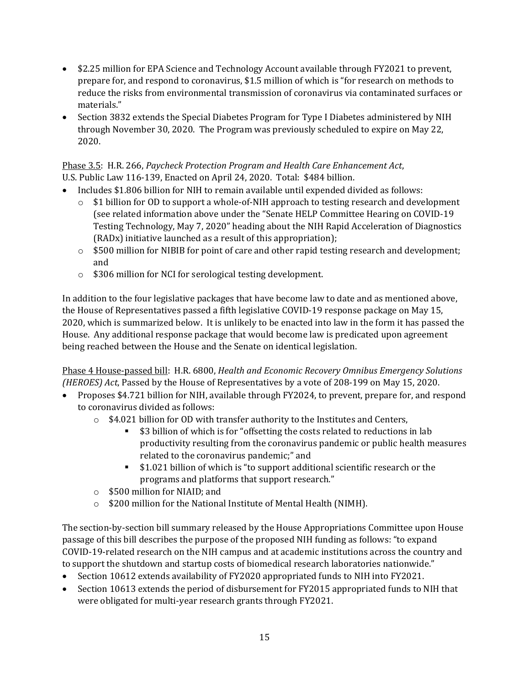- \$2.25 million for EPA Science and Technology Account available through FY2021 to prevent, prepare for, and respond to coronavirus, \$1.5 million of which is "for research on methods to reduce the risks from environmental transmission of coronavirus via contaminated surfaces or materials."
- Section 3832 extends the Special Diabetes Program for Type I Diabetes administered by NIH through November 30, 2020. The Program was previously scheduled to expire on May 22, 2020.

#### Phase 3.5: H.R. 266, *Paycheck Protection Program and Health Care Enhancement Act*, U.S. Public Law 116-139, Enacted on April 24, 2020. Total: \$484 billion.

- Includes \$1.806 billion for NIH to remain available until expended divided as follows:
	- $\circ$  \$1 billion for OD to support a whole-of-NIH approach to testing research and development (see related information above under the "Senate HELP Committee Hearing on COVID-19 Testing Technology, May 7, 2020" heading about the NIH Rapid Acceleration of Diagnostics (RADx) initiative launched as a result of this appropriation);
	- $\circ$  \$500 million for NIBIB for point of care and other rapid testing research and development; and
	- o \$306 million for NCI for serological testing development.

In addition to the four legislative packages that have become law to date and as mentioned above, the House of Representatives passed a fifth legislative COVID-19 response package on May 15, 2020, which is summarized below. It is unlikely to be enacted into law in the form it has passed the House. Any additional response package that would become law is predicated upon agreement being reached between the House and the Senate on identical legislation.

Phase 4 House-passed bill: H.R. 6800, *Health and Economic Recovery Omnibus Emergency Solutions (HEROES) Act*, Passed by the House of Representatives by a vote of 208-199 on May 15, 2020.

- Proposes \$4.721 billion for NIH, available through FY2024, to prevent, prepare for, and respond to coronavirus divided as follows:
	- o \$4.021 billion for OD with transfer authority to the Institutes and Centers,
		- \$3 billion of which is for "offsetting the costs related to reductions in lab productivity resulting from the coronavirus pandemic or public health measures related to the coronavirus pandemic;" and
		- **\$1.021 billion of which is "to support additional scientific research or the** programs and platforms that support research."
	- o \$500 million for NIAID; and
	- o \$200 million for the National Institute of Mental Health (NIMH).

The section-by-section bill summary released by the House Appropriations Committee upon House passage of this bill describes the purpose of the proposed NIH funding as follows: "to expand COVID-19-related research on the NIH campus and at academic institutions across the country and to support the shutdown and startup costs of biomedical research laboratories nationwide."

- Section 10612 extends availability of FY2020 appropriated funds to NIH into FY2021.
- Section 10613 extends the period of disbursement for FY2015 appropriated funds to NIH that were obligated for multi-year research grants through FY2021.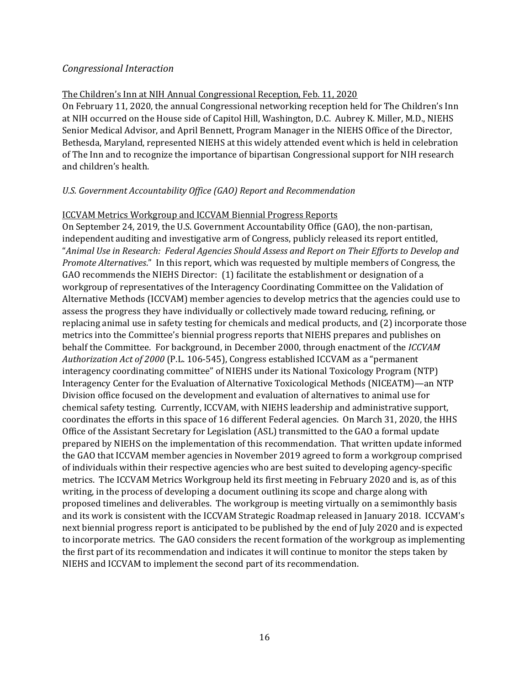#### *Congressional Interaction*

#### The Children's Inn at NIH Annual Congressional Reception, Feb. 11, 2020

On February 11, 2020, the annual Congressional networking reception held for The Children's Inn at NIH occurred on the House side of Capitol Hill, Washington, D.C. Aubrey K. Miller, M.D., NIEHS Senior Medical Advisor, and April Bennett, Program Manager in the NIEHS Office of the Director, Bethesda, Maryland, represented NIEHS at this widely attended event which is held in celebration of The Inn and to recognize the importance of bipartisan Congressional support for NIH research and children's health.

#### *U.S. Government Accountability Office (GAO) Report and Recommendation*

#### ICCVAM Metrics Workgroup and ICCVAM Biennial Progress Reports

On September 24, 2019, the U.S. Government Accountability Office (GAO), the non-partisan, independent auditing and investigative arm of Congress, publicly released its report entitled, "*Animal Use in Research: Federal Agencies Should Assess and Report on Their Efforts to Develop and Promote Alternatives*." In this report, which was requested by multiple members of Congress, the GAO recommends the NIEHS Director: (1) facilitate the establishment or designation of a workgroup of representatives of the Interagency Coordinating Committee on the Validation of Alternative Methods (ICCVAM) member agencies to develop metrics that the agencies could use to assess the progress they have individually or collectively made toward reducing, refining, or replacing animal use in safety testing for chemicals and medical products, and (2) incorporate those metrics into the Committee's biennial progress reports that NIEHS prepares and publishes on behalf the Committee. For background, in December 2000, through enactment of the *ICCVAM Authorization Act of 2000* (P.L. 106-545), Congress established ICCVAM as a "permanent interagency coordinating committee" of NIEHS under its National Toxicology Program (NTP) Interagency Center for the Evaluation of Alternative Toxicological Methods (NICEATM)—an NTP Division office focused on the development and evaluation of alternatives to animal use for chemical safety testing. Currently, ICCVAM, with NIEHS leadership and administrative support, coordinates the efforts in this space of 16 different Federal agencies. On March 31, 2020, the HHS Office of the Assistant Secretary for Legislation (ASL) transmitted to the GAO a formal update prepared by NIEHS on the implementation of this recommendation. That written update informed the GAO that ICCVAM member agencies in November 2019 agreed to form a workgroup comprised of individuals within their respective agencies who are best suited to developing agency-specific metrics. The ICCVAM Metrics Workgroup held its first meeting in February 2020 and is, as of this writing, in the process of developing a document outlining its scope and charge along with proposed timelines and deliverables. The workgroup is meeting virtually on a semimonthly basis and its work is consistent with the ICCVAM Strategic Roadmap released in January 2018. ICCVAM's next biennial progress report is anticipated to be published by the end of July 2020 and is expected to incorporate metrics. The GAO considers the recent formation of the workgroup as implementing the first part of its recommendation and indicates it will continue to monitor the steps taken by NIEHS and ICCVAM to implement the second part of its recommendation.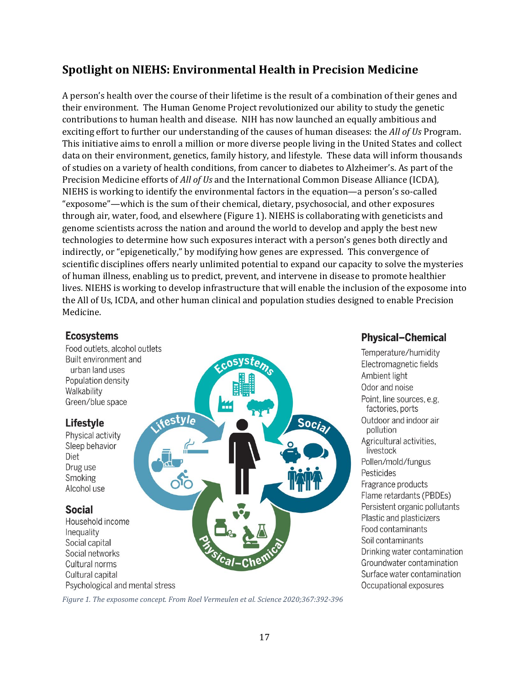## **Spotlight on NIEHS: Environmental Health in Precision Medicine**

A person's health over the course of their lifetime is the result of a combination of their genes and their environment. The Human Genome Project revolutionized our ability to study the genetic contributions to human health and disease. NIH has now launched an equally ambitious and exciting effort to further our understanding of the causes of human diseases: the *All of Us* Program. This initiative aims to enroll a million or more diverse people living in the United States and collect data on their environment, genetics, family history, and lifestyle. These data will inform thousands of studies on a variety of health conditions, from cancer to diabetes to Alzheimer's. As part of the Precision Medicine efforts of *All of Us* and the International Common Disease Alliance (ICDA)*,* NIEHS is working to identify the environmental factors in the equation—a person's so-called "exposome"—which is the sum of their chemical, dietary, psychosocial, and other exposures through air, water, food, and elsewhere (Figure 1). NIEHS is collaborating with geneticists and genome scientists across the nation and around the world to develop and apply the best new technologies to determine how such exposures interact with a person's genes both directly and indirectly, or "epigenetically," by modifying how genes are expressed. This convergence of scientific disciplines offers nearly unlimited potential to expand our capacity to solve the mysteries of human illness, enabling us to predict, prevent, and intervene in disease to promote healthier lives. NIEHS is working to develop infrastructure that will enable the inclusion of the exposome into the All of Us, ICDA, and other human clinical and population studies designed to enable Precision Medicine.

#### **Ecosystems**

Food outlets, alcohol outlets Built environment and urban land uses Population density Walkability Green/blue space

## **Lifestyle**

Physical activity Sleep behavior Diet Drug use Smoking Alcohol use

## **Social**

Household income Inequality Social capital Social networks Cultural norms Cultural capital Psychological and mental stress



## **Physical-Chemical**

Temperature/humidity Electromagnetic fields Ambient light Odor and noise Point, line sources, e.g, factories, ports Outdoor and indoor air pollution Agricultural activities, livestock Pollen/mold/fungus Pesticides Fragrance products Flame retardants (PBDEs) Persistent organic pollutants Plastic and plasticizers Food contaminants Soil contaminants Drinking water contamination Groundwater contamination Surface water contamination Occupational exposures

*Figure 1. The exposome concept. From Roel Vermeulen et al. Science 2020;367:392-396*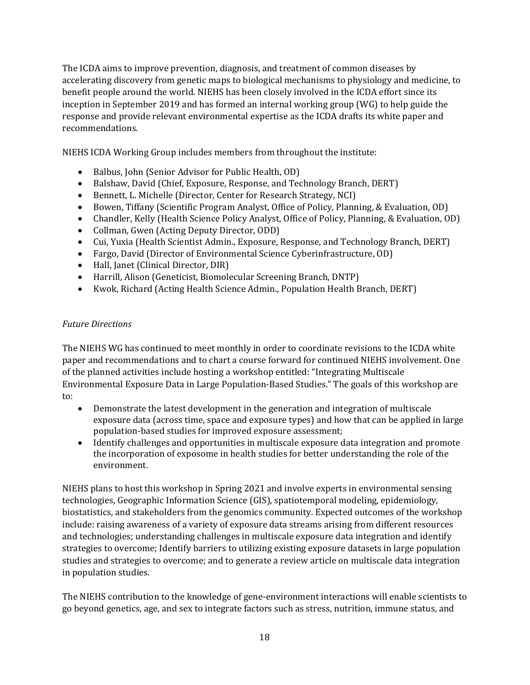The ICDA aims to improve prevention, diagnosis, and treatment of common diseases by accelerating discovery from genetic maps to biological mechanisms to physiology and medicine, to benefit people around the world. NIEHS has been closely involved in the ICDA effort since its inception in September 2019 and has formed an internal working group (WG) to help guide the response and provide relevant environmental expertise as the ICDA drafts its white paper and recommendations.

NIEHS ICDA Working Group includes members from throughout the institute:

- Balbus, John (Senior Advisor for Public Health, OD)
- Balshaw, David (Chief, Exposure, Response, and Technology Branch, DERT)
- Bennett, L. Michelle (Director, Center for Research Strategy, NCI)
- Bowen, Tiffany (Scientific Program Analyst, Office of Policy, Planning, & Evaluation, OD)
- Chandler, Kelly (Health Science Policy Analyst, Office of Policy, Planning, & Evaluation, OD)
- Collman, Gwen (Acting Deputy Director, ODD)
- Cui, Yuxia (Health Scientist Admin., Exposure, Response, and Technology Branch, DERT)
- Fargo, David (Director of Environmental Science Cyberinfrastructure, OD)
- Hall, Janet (Clinical Director, DIR)
- Harrill, Alison (Geneticist, Biomolecular Screening Branch, DNTP)
- Kwok, Richard (Acting Health Science Admin., Population Health Branch, DERT)

#### *Future Directions*

The NIEHS WG has continued to meet monthly in order to coordinate revisions to the ICDA white paper and recommendations and to chart a course forward for continued NIEHS involvement. One of the planned activities include hosting a workshop entitled: "Integrating Multiscale Environmental Exposure Data in Large Population-Based Studies." The goals of this workshop are to:

- Demonstrate the latest development in the generation and integration of multiscale exposure data (across time, space and exposure types) and how that can be applied in large population-based studies for improved exposure assessment;
- Identify challenges and opportunities in multiscale exposure data integration and promote the incorporation of exposome in health studies for better understanding the role of the environment.

NIEHS plans to host this workshop in Spring 2021 and involve experts in environmental sensing technologies, Geographic Information Science (GIS), spatiotemporal modeling, epidemiology, biostatistics, and stakeholders from the genomics community. Expected outcomes of the workshop include: raising awareness of a variety of exposure data streams arising from different resources and technologies; understanding challenges in multiscale exposure data integration and identify strategies to overcome; Identify barriers to utilizing existing exposure datasets in large population studies and strategies to overcome; and to generate a review article on multiscale data integration in population studies.

The NIEHS contribution to the knowledge of gene-environment interactions will enable scientists to go beyond genetics, age, and sex to integrate factors such as stress, nutrition, immune status, and